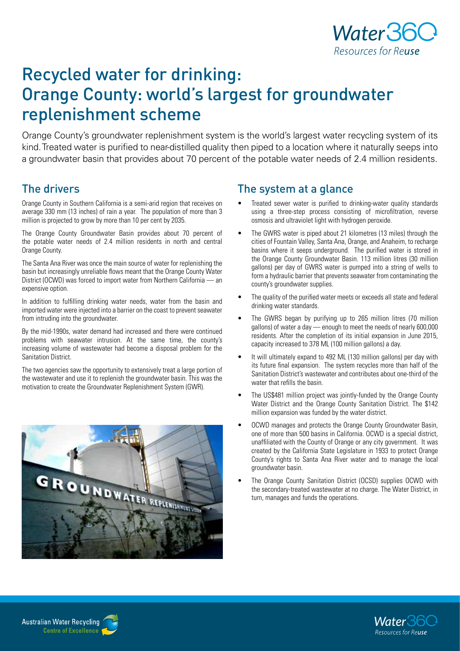

# Recycled water for drinking: Orange County: world's largest for groundwater replenishment scheme

Orange County's groundwater replenishment system is the world's largest water recycling system of its kind. Treated water is purified to near-distilled quality then piped to a location where it naturally seeps into a groundwater basin that provides about 70 percent of the potable water needs of 2.4 million residents.

## The drivers

Orange County in Southern California is a semi-arid region that receives on average 330 mm (13 inches) of rain a year. The population of more than 3 million is projected to grow by more than 10 per cent by 2035.

The Orange County Groundwater Basin provides about 70 percent of the potable water needs of 2.4 million residents in north and central Orange County.

The Santa Ana River was once the main source of water for replenishing the basin but increasingly unreliable flows meant that the Orange County Water District (OCWD) was forced to import water from Northern California — an expensive option.

In addition to fulfilling drinking water needs, water from the basin and imported water were injected into a barrier on the coast to prevent seawater from intruding into the groundwater.

By the mid-1990s, water demand had increased and there were continued problems with seawater intrusion. At the same time, the county's increasing volume of wastewater had become a disposal problem for the Sanitation District.

The two agencies saw the opportunity to extensively treat a large portion of the wastewater and use it to replenish the groundwater basin. This was the motivation to create the Groundwater Replenishment System (GWR).



### The system at a glance

- Treated sewer water is purified to drinking-water quality standards using a three-step process consisting of microfiltration, reverse osmosis and ultraviolet light with hydrogen peroxide.
- The GWRS water is piped about 21 kilometres (13 miles) through the cities of Fountain Valley, Santa Ana, Orange, and Anaheim, to recharge basins where it seeps underground. The purified water is stored in the Orange County Groundwater Basin. 113 million litres (30 million gallons) per day of GWRS water is pumped into a string of wells to form a hydraulic barrier that prevents seawater from contaminating the county's groundwater supplies.
- The quality of the purified water meets or exceeds all state and federal drinking water standards.
- The GWRS began by purifying up to 265 million litres (70 million gallons) of water a day — enough to meet the needs of nearly 600,000 residents. After the completion of its initial expansion in June 2015, capacity increased to 378 ML (100 million gallons) a day.
- It will ultimately expand to 492 ML (130 million gallons) per day with its future final expansion. The system recycles more than half of the Sanitation District's wastewater and contributes about one-third of the water that refills the basin.
- The US\$481 million project was jointly-funded by the Orange County Water District and the Orange County Sanitation District. The \$142 million expansion was funded by the water district.
- OCWD manages and protects the Orange County Groundwater Basin, one of more than 500 basins in California. OCWD is a special district, unaffiliated with the County of Orange or any city government. It was created by the California State Legislature in 1933 to protect Orange County's rights to Santa Ana River water and to manage the local groundwater basin.
- The Orange County Sanitation District (OCSD) supplies OCWD with the secondary-treated wastewater at no charge. The Water District, in turn, manages and funds the operations.



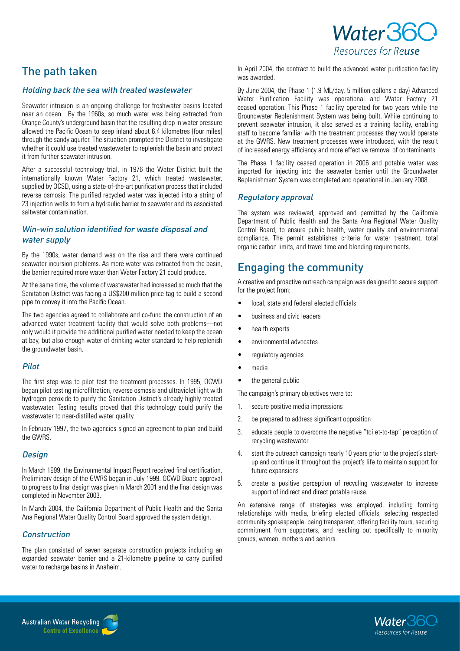## The path taken

### Holding back the sea with treated wastewater

Seawater intrusion is an ongoing challenge for freshwater basins located near an ocean. By the 1960s, so much water was being extracted from Orange County's underground basin that the resulting drop in water pressure allowed the Pacific Ocean to seep inland about 6.4 kilometres (four miles) through the sandy aquifer. The situation prompted the District to investigate whether it could use treated wastewater to replenish the basin and protect it from further seawater intrusion.

After a successful technology trial, in 1976 the Water District built the internationally known Water Factory 21, which treated wastewater, supplied by OCSD, using a state-of-the-art purification process that included reverse osmosis. The purified recycled water was injected into a string of 23 injection wells to form a hydraulic barrier to seawater and its associated saltwater contamination.

### Win-win solution identified for waste disposal and water supply

By the 1990s, water demand was on the rise and there were continued seawater incursion problems. As more water was extracted from the basin, the barrier required more water than Water Factory 21 could produce.

At the same time, the volume of wastewater had increased so much that the Sanitation District was facing a US\$200 million price tag to build a second pipe to convey it into the Pacific Ocean.

The two agencies agreed to collaborate and co-fund the construction of an advanced water treatment facility that would solve both problems—not only would it provide the additional purified water needed to keep the ocean at bay, but also enough water of drinking-water standard to help replenish the groundwater basin.

### Pilot

The first step was to pilot test the treatment processes. In 1995, OCWD began pilot testing microfiltration, reverse osmosis and ultraviolet light with hydrogen peroxide to purify the Sanitation District's already highly treated wastewater. Testing results proved that this technology could purify the wastewater to near-distilled water quality.

In February 1997, the two agencies signed an agreement to plan and build the GWRS.

### **Design**

In March 1999, the Environmental Impact Report received final certification. Preliminary design of the GWRS began in July 1999. OCWD Board approval to progress to final design was given in March 2001 and the final design was completed in November 2003.

In March 2004, the California Department of Public Health and the Santa Ana Regional Water Quality Control Board approved the system design.

### **Construction**

The plan consisted of seven separate construction projects including an expanded seawater barrier and a 21-kilometre pipeline to carry purified water to recharge basins in Anaheim.

In April 2004, the contract to build the advanced water purification facility was awarded.

Water 360

Resources for Reuse

By June 2004, the Phase 1 (1.9 ML/day, 5 million gallons a day) Advanced Water Purification Facility was operational and Water Factory 21 ceased operation. This Phase 1 facility operated for two years while the Groundwater Replenishment System was being built. While continuing to prevent seawater intrusion, it also served as a training facility, enabling staff to become familiar with the treatment processes they would operate at the GWRS. New treatment processes were introduced, with the result of increased energy efficiency and more effective removal of contaminants.

The Phase 1 facility ceased operation in 2006 and potable water was imported for injecting into the seawater barrier until the Groundwater Replenishment System was completed and operational in January 2008.

### Regulatory approval

The system was reviewed, approved and permitted by the California Department of Public Health and the Santa Ana Regional Water Quality Control Board, to ensure public health, water quality and environmental compliance. The permit establishes criteria for water treatment, total organic carbon limits, and travel time and blending requirements.

## Engaging the community

A creative and proactive outreach campaign was designed to secure support for the project from:

- local, state and federal elected officials
- business and civic leaders
- health experts
- environmental advocates
- regulatory agencies
- media
- the general public

The campaign's primary objectives were to:

- 1. secure positive media impressions
- 2. be prepared to address significant opposition
- 3. educate people to overcome the negative "toilet-to-tap" perception of recycling wastewater
- 4. start the outreach campaign nearly 10 years prior to the project's startup and continue it throughout the project's life to maintain support for future expansions
- 5. create a positive perception of recycling wastewater to increase support of indirect and direct potable reuse.

An extensive range of strategies was employed, including forming relationships with media, briefing elected officials, selecting respected community spokespeople, being transparent, offering facility tours, securing commitment from supporters, and reaching out specifically to minority groups, women, mothers and seniors.